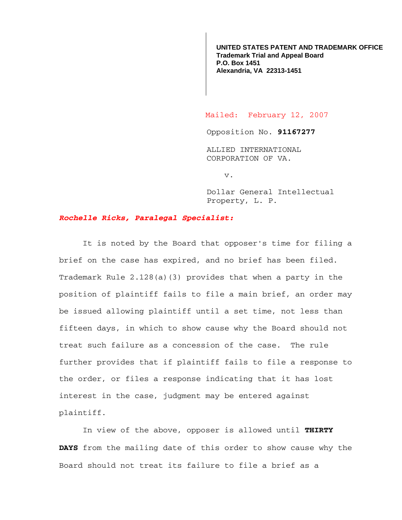**UNITED STATES PATENT AND TRADEMARK OFFICE Trademark Trial and Appeal Board P.O. Box 1451 Alexandria, VA 22313-1451**

Mailed: February 12, 2007

Opposition No. **91167277**

ALLIED INTERNATIONAL CORPORATION OF VA.

v.

Dollar General Intellectual Property, L. P.

## *Rochelle Ricks, Paralegal Specialist:*

 It is noted by the Board that opposer's time for filing a brief on the case has expired, and no brief has been filed. Trademark Rule 2.128(a)(3) provides that when a party in the position of plaintiff fails to file a main brief, an order may be issued allowing plaintiff until a set time, not less than fifteen days, in which to show cause why the Board should not treat such failure as a concession of the case. The rule further provides that if plaintiff fails to file a response to the order, or files a response indicating that it has lost interest in the case, judgment may be entered against plaintiff.

 In view of the above, opposer is allowed until **THIRTY DAYS** from the mailing date of this order to show cause why the Board should not treat its failure to file a brief as a